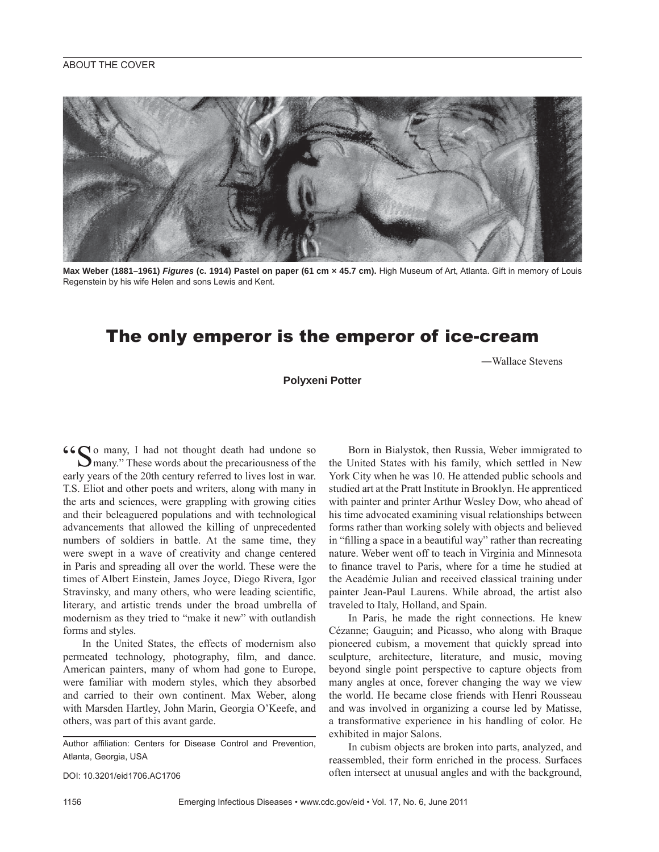## ABOUT THE COVER



**Max Weber (1881–1961)** *Figures* **(c. 1914) Pastel on paper (61 cm × 45.7 cm).** High Museum of Art, Atlanta. Gift in memory of Louis Regenstein by his wife Helen and sons Lewis and Kent.

## The only emperor is the emperor of ice-cream

―Wallace Stevens

**Polyxeni Potter**

66  $\bigcap$  o many, I had not thought death had undone so **M** many." These words about the precariousness of the early years of the 20th century referred to lives lost in war. T.S. Eliot and other poets and writers, along with many in the arts and sciences, were grappling with growing cities and their beleaguered populations and with technological advancements that allowed the killing of unprecedented numbers of soldiers in battle. At the same time, they were swept in a wave of creativity and change centered in Paris and spreading all over the world. These were the times of Albert Einstein, James Joyce, Diego Rivera, Igor Stravinsky, and many others, who were leading scientific, literary, and artistic trends under the broad umbrella of modernism as they tried to "make it new" with outlandish forms and styles.

In the United States, the effects of modernism also permeated technology, photography, film, and dance. American painters, many of whom had gone to Europe, were familiar with modern styles, which they absorbed and carried to their own continent. Max Weber, along with Marsden Hartley, John Marin, Georgia O'Keefe, and others, was part of this avant garde.

Author affiliation: Centers for Disease Control and Prevention, Atlanta, Georgia, USA

Born in Bialystok, then Russia, Weber immigrated to the United States with his family, which settled in New York City when he was 10. He attended public schools and studied art at the Pratt Institute in Brooklyn. He apprenticed with painter and printer Arthur Wesley Dow, who ahead of his time advocated examining visual relationships between forms rather than working solely with objects and believed in "filling a space in a beautiful way" rather than recreating nature. Weber went off to teach in Virginia and Minnesota to finance travel to Paris, where for a time he studied at the Académie Julian and received classical training under painter Jean-Paul Laurens. While abroad, the artist also traveled to Italy, Holland, and Spain.

In Paris, he made the right connections. He knew Cézanne; Gauguin; and Picasso, who along with Braque pioneered cubism, a movement that quickly spread into sculpture, architecture, literature, and music, moving beyond single point perspective to capture objects from many angles at once, forever changing the way we view the world. He became close friends with Henri Rousseau and was involved in organizing a course led by Matisse, a transformative experience in his handling of color. He exhibited in major Salons.

In cubism objects are broken into parts, analyzed, and reassembled, their form enriched in the process. Surfaces often intersect at unusual angles and with the background,

DOI: 10.3201/eid1706.AC1706